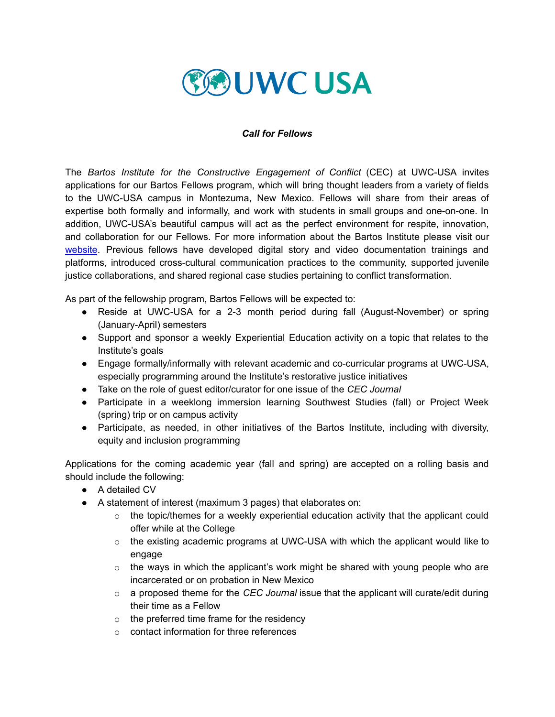

## *Call for Fellows*

The *Bartos Institute for the Constructive Engagement of Conflict* (CEC) at UWC-USA invites applications for our Bartos Fellows program, which will bring thought leaders from a variety of fields to the UWC-USA campus in Montezuma, New Mexico. Fellows will share from their areas of expertise both formally and informally, and work with students in small groups and one-on-one. In addition, UWC-USA's beautiful campus will act as the perfect environment for respite, innovation, and collaboration for our Fellows. For more information about the Bartos Institute please visit our [website](http://www.uwc-usa.org/page.cfm?p=543) . Previous fellows have developed digital story and video documentation trainings and platforms, introduced cross-cultural communication practices to the community, supported juvenile justice collaborations, and shared regional case studies pertaining to conflict transformation.

As part of the fellowship program, Bartos Fellows will be expected to:

- Reside at UWC-USA for a 2-3 month period during fall (August-November) or spring (January-April) semesters
- Support and sponsor a weekly Experiential Education activity on a topic that relates to the Institute's goals
- Engage formally/informally with relevant academic and co-curricular programs at UWC-USA, especially programming around the Institute's restorative justice initiatives
- Take on the role of guest editor/curator for one issue of the *CEC Journal*
- Participate in a weeklong immersion learning Southwest Studies (fall) or Project Week (spring) trip or on campus activity
- Participate, as needed, in other initiatives of the Bartos Institute, including with diversity, equity and inclusion programming

Applications for the coming academic year (fall and spring) are accepted on a rolling basis and should include the following:

- A detailed CV
- A statement of interest (maximum 3 pages) that elaborates on:
	- $\circ$  the topic/themes for a weekly experiential education activity that the applicant could offer while at the College
	- $\circ$  the existing academic programs at UWC-USA with which the applicant would like to engage
	- $\circ$  the ways in which the applicant's work might be shared with young people who are incarcerated or on probation in New Mexico
	- o a proposed theme for the *CEC Journal* issue that the applicant will curate/edit during their time as a Fellow
	- $\circ$  the preferred time frame for the residency
	- o contact information for three references